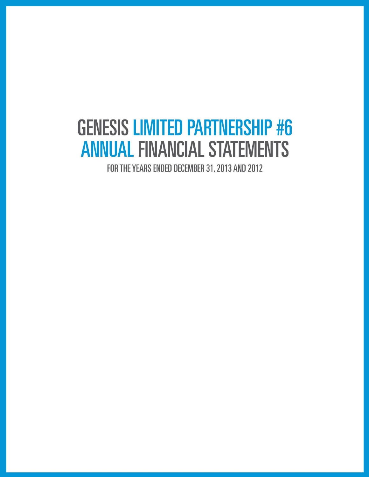# **GENESIS LIMITED PARTNERSHIP #6 ANNUAL FINANCIAL STATEMENTS**

FOR THE YEARS ENDED DECEMBER 31, 2013 AND 2012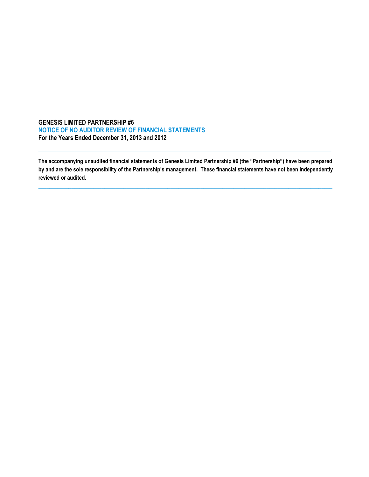## **GENESIS LIMITED PARTNERSHIP #6 NOTICE OF NO AUDITOR REVIEW OF FINANCIAL STATEMENTS For the Years Ended December 31, 2013 and 2012**

**The accompanying unaudited financial statements of Genesis Limited Partnership #6 (the "Partnership") have been prepared by and are the sole responsibility of the Partnership's management. These financial statements have not been independently reviewed or audited.**

**\_\_\_\_\_\_\_\_\_\_\_\_\_\_\_\_\_\_\_\_\_\_\_\_\_\_\_\_\_\_\_\_\_\_\_\_\_\_\_\_\_\_\_\_\_\_\_\_\_\_\_\_\_\_\_\_\_\_\_\_\_\_\_\_\_\_\_\_\_\_\_\_\_\_\_\_\_\_\_\_\_\_\_\_\_\_\_\_\_\_\_\_\_\_\_\_\_\_\_\_\_\_\_\_\_\_\_**

 $\mathcal{L}_\text{max}$  and  $\mathcal{L}_\text{max}$  and  $\mathcal{L}_\text{max}$  and  $\mathcal{L}_\text{max}$  and  $\mathcal{L}_\text{max}$  and  $\mathcal{L}_\text{max}$  and  $\mathcal{L}_\text{max}$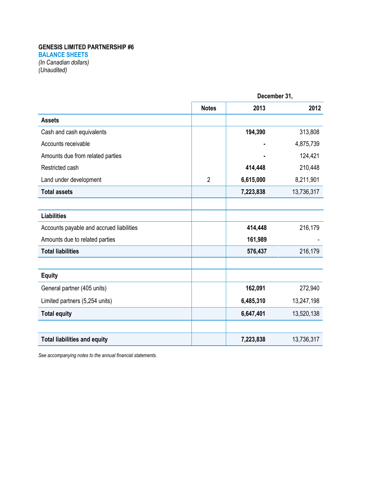## **GENESIS LIMITED PARTNERSHIP #6**

**BALANCE SHEETS**

*(In Canadian dollars) (Unaudited)*

|                                          | December 31,   |           |            |
|------------------------------------------|----------------|-----------|------------|
|                                          | <b>Notes</b>   | 2013      | 2012       |
| <b>Assets</b>                            |                |           |            |
| Cash and cash equivalents                |                | 194,390   | 313,808    |
| Accounts receivable                      |                |           | 4,875,739  |
| Amounts due from related parties         |                |           | 124,421    |
| Restricted cash                          |                | 414,448   | 210,448    |
| Land under development                   | $\overline{2}$ | 6,615,000 | 8,211,901  |
| <b>Total assets</b>                      |                | 7,223,838 | 13,736,317 |
|                                          |                |           |            |
| <b>Liabilities</b>                       |                |           |            |
| Accounts payable and accrued liabilities |                | 414,448   | 216,179    |
| Amounts due to related parties           |                | 161,989   |            |
| <b>Total liabilities</b>                 |                | 576,437   | 216,179    |
|                                          |                |           |            |
| <b>Equity</b>                            |                |           |            |
| General partner (405 units)              |                | 162,091   | 272,940    |
| Limited partners (5,254 units)           |                | 6,485,310 | 13,247,198 |
| <b>Total equity</b>                      |                | 6,647,401 | 13,520,138 |
|                                          |                |           |            |
| <b>Total liabilities and equity</b>      |                | 7,223,838 | 13,736,317 |

*See accompanying notes to the annual financial statements.*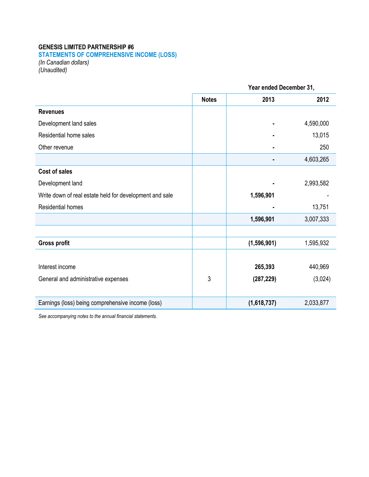## **GENESIS LIMITED PARTNERSHIP #6**

**STATEMENTS OF COMPREHENSIVE INCOME (LOSS)**

*(In Canadian dollars) (Unaudited)*

|                                                         |              | Year ended December 31, |           |  |
|---------------------------------------------------------|--------------|-------------------------|-----------|--|
|                                                         | <b>Notes</b> | 2013                    | 2012      |  |
| <b>Revenues</b>                                         |              |                         |           |  |
| Development land sales                                  |              |                         | 4,590,000 |  |
| Residential home sales                                  |              |                         | 13,015    |  |
| Other revenue                                           |              |                         | 250       |  |
|                                                         |              |                         | 4,603,265 |  |
| <b>Cost of sales</b>                                    |              |                         |           |  |
| Development land                                        |              |                         | 2,993,582 |  |
| Write down of real estate held for development and sale |              | 1,596,901               |           |  |
| <b>Residential homes</b>                                |              |                         | 13,751    |  |
|                                                         |              | 1,596,901               | 3,007,333 |  |
|                                                         |              |                         |           |  |
| <b>Gross profit</b>                                     |              | (1, 596, 901)           | 1,595,932 |  |
|                                                         |              |                         |           |  |
| Interest income                                         |              | 265,393                 | 440,969   |  |
| General and administrative expenses                     | 3            | (287, 229)              | (3,024)   |  |
|                                                         |              |                         |           |  |
| Earnings (loss) being comprehensive income (loss)       |              | (1,618,737)             | 2,033,877 |  |

*See accompanying notes to the annual financial statements.*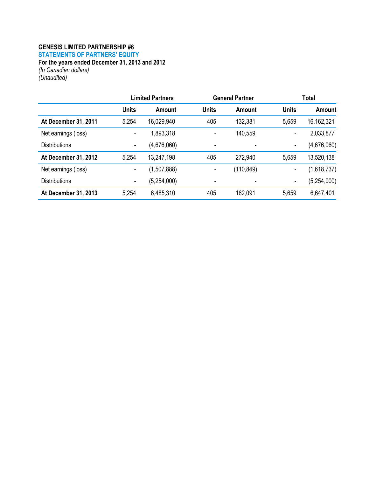## **GENESIS LIMITED PARTNERSHIP #6**

**STATEMENTS OF PARTNERS' EQUITY**

**For the years ended December 31, 2013 and 2012**

*(In Canadian dollars) (Unaudited)*

|                      |              | <b>Limited Partners</b> |              | <b>General Partner</b> |                          | <b>Total</b>  |  |
|----------------------|--------------|-------------------------|--------------|------------------------|--------------------------|---------------|--|
|                      | <b>Units</b> | Amount                  | <b>Units</b> | Amount                 | <b>Units</b>             | <b>Amount</b> |  |
| At December 31, 2011 | 5,254        | 16,029,940              | 405          | 132,381                | 5,659                    | 16, 162, 321  |  |
| Net earnings (loss)  | ۰            | 1,893,318               | ۰            | 140,559                | ٠                        | 2,033,877     |  |
| <b>Distributions</b> | ۰            | (4,676,060)             | ۰            |                        | $\overline{\phantom{a}}$ | (4,676,060)   |  |
| At December 31, 2012 | 5,254        | 13,247,198              | 405          | 272,940                | 5,659                    | 13,520,138    |  |
| Net earnings (loss)  | ۰            | (1,507,888)             | ٠            | (110, 849)             | ٠                        | (1,618,737)   |  |
| <b>Distributions</b> | ۰            | (5,254,000)             |              |                        | -                        | (5,254,000)   |  |
| At December 31, 2013 | 5,254        | 6,485,310               | 405          | 162,091                | 5,659                    | 6,647,401     |  |